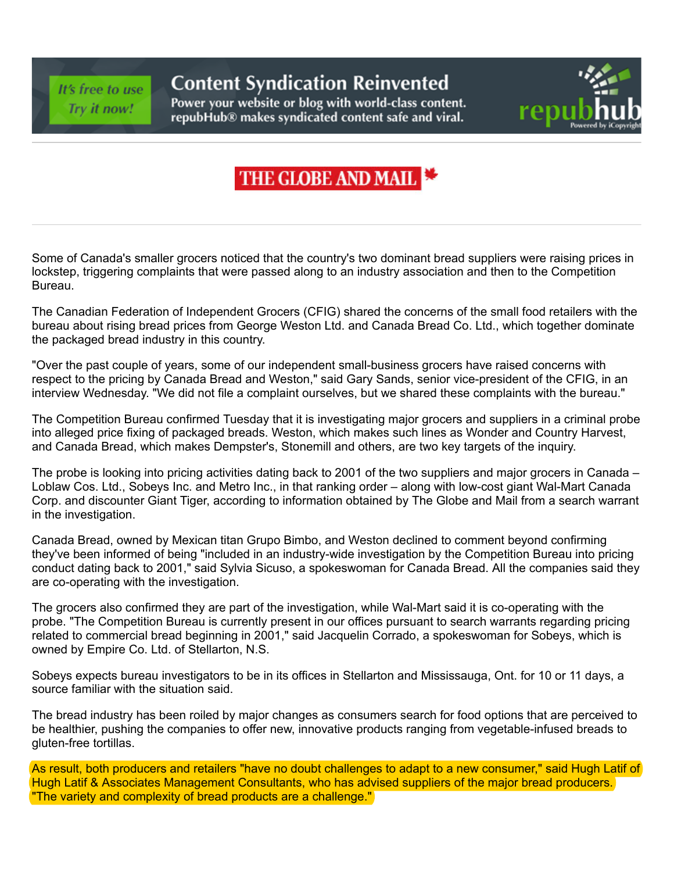## It's free to use Try it now!

## **Content Syndication Reinvented**

Power your website or blog with world-class content. repubHub® makes syndicated content safe and viral.



## THE GLOBE AND MAIL

Some of Canada's smaller grocers noticed that the country's two dominant bread suppliers were raising prices in lockstep, triggering complaints that were passed along to an industry association and then to the Competition Bureau.

The Canadian Federation of Independent Grocers (CFIG) shared the concerns of the small food retailers with the bureau about rising bread prices from George Weston Ltd. and Canada Bread Co. Ltd., which together dominate the packaged bread industry in this country.

"Over the past couple of years, some of our independent small-business grocers have raised concerns with respect to the pricing by Canada Bread and Weston," said Gary Sands, senior vice-president of the CFIG, in an interview Wednesday. "We did not file a complaint ourselves, but we shared these complaints with the bureau."

The Competition Bureau confirmed Tuesday that it is investigating major grocers and suppliers in a criminal probe into alleged price fixing of packaged breads. Weston, which makes such lines as Wonder and Country Harvest, and Canada Bread, which makes Dempster's, Stonemill and others, are two key targets of the inquiry.

The probe is looking into pricing activities dating back to 2001 of the two suppliers and major grocers in Canada – Loblaw Cos. Ltd., Sobeys Inc. and Metro Inc., in that ranking order – along with low-cost giant Wal-Mart Canada Corp. and discounter Giant Tiger, according to information obtained by The Globe and Mail from a search warrant in the investigation.

Canada Bread, owned by Mexican titan Grupo Bimbo, and Weston declined to comment beyond confirming they've been informed of being "included in an industry-wide investigation by the Competition Bureau into pricing conduct dating back to 2001," said Sylvia Sicuso, a spokeswoman for Canada Bread. All the companies said they are co-operating with the investigation.

The grocers also confirmed they are part of the investigation, while Wal-Mart said it is co-operating with the probe. "The Competition Bureau is currently present in our offices pursuant to search warrants regarding pricing related to commercial bread beginning in 2001," said Jacquelin Corrado, a spokeswoman for Sobeys, which is owned by Empire Co. Ltd. of Stellarton, N.S.

Sobeys expects bureau investigators to be in its offices in Stellarton and Mississauga, Ont. for 10 or 11 days, a source familiar with the situation said.

The bread industry has been roiled by major changes as consumers search for food options that are perceived to be healthier, pushing the companies to offer new, innovative products ranging from vegetable-infused breads to gluten-free tortillas.

As result, both producers and retailers "have no doubt challenges to adapt to a new consumer," said Hugh Latif of Hugh Latif & Associates Management Consultants, who has advised suppliers of the major bread producers. "The variety and complexity of bread products are a challenge."